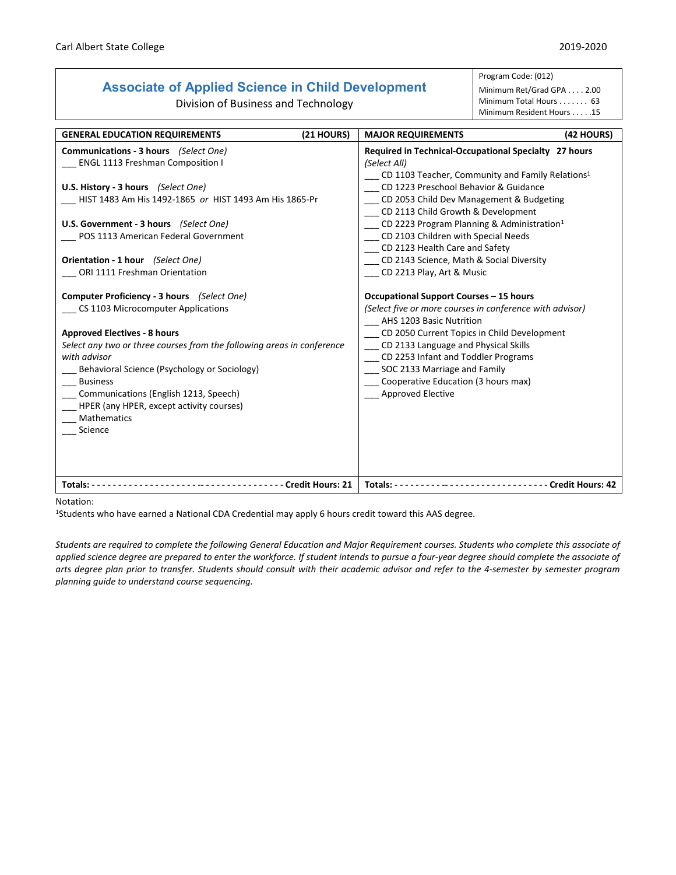## **Associate of Applied Science in Child Development**

Division of Business and Technology

Program Code: (012)

Minimum Ret/Grad GPA . . . . 2.00 Minimum Total Hours . . . . . . . 63 Minimum Resident Hours . . . . .15

| <b>GENERAL EDUCATION REQUIREMENTS</b>                                                                                                                                                                                                                                                                                                                                                                       | (21 HOURS) | <b>MAJOR REQUIREMENTS</b>                                                                                                                                                                                                                                                                                                                                                                                                                                                    | (42 HOURS)                             |
|-------------------------------------------------------------------------------------------------------------------------------------------------------------------------------------------------------------------------------------------------------------------------------------------------------------------------------------------------------------------------------------------------------------|------------|------------------------------------------------------------------------------------------------------------------------------------------------------------------------------------------------------------------------------------------------------------------------------------------------------------------------------------------------------------------------------------------------------------------------------------------------------------------------------|----------------------------------------|
| Communications - 3 hours (Select One)<br><b>ENGL 1113 Freshman Composition I</b><br>U.S. History - 3 hours (Select One)<br>HIST 1483 Am His 1492-1865 or HIST 1493 Am His 1865-Pr<br>U.S. Government - 3 hours (Select One)<br>POS 1113 American Federal Government<br>Orientation - 1 hour (Select One)<br>ORI 1111 Freshman Orientation                                                                   |            | Required in Technical-Occupational Specialty 27 hours<br>(Select All)<br>CD 1103 Teacher, Community and Family Relations <sup>1</sup><br>CD 1223 Preschool Behavior & Guidance<br>CD 2053 Child Dev Management & Budgeting<br>CD 2113 Child Growth & Development<br>CD 2223 Program Planning & Administration <sup>1</sup><br>CD 2103 Children with Special Needs<br>CD 2123 Health Care and Safety<br>CD 2143 Science, Math & Social Diversity<br>CD 2213 Play, Art & Music |                                        |
| Computer Proficiency - 3 hours (Select One)<br>CS 1103 Microcomputer Applications<br><b>Approved Electives - 8 hours</b><br>Select any two or three courses from the following areas in conference<br>with advisor<br>Behavioral Science (Psychology or Sociology)<br><b>Business</b><br>Communications (English 1213, Speech)<br>HPER (any HPER, except activity courses)<br><b>Mathematics</b><br>Science |            | Occupational Support Courses - 15 hours<br>(Select five or more courses in conference with advisor)<br>AHS 1203 Basic Nutrition<br>CD 2050 Current Topics in Child Development<br>CD 2133 Language and Physical Skills<br>CD 2253 Infant and Toddler Programs<br>SOC 2133 Marriage and Family<br>Cooperative Education (3 hours max)<br>Approved Elective                                                                                                                    |                                        |
| --------------------------------- Credit Hours: 21<br>Totals: $---$                                                                                                                                                                                                                                                                                                                                         |            | Totals: - - - - - - - - - - - - - - - - - -                                                                                                                                                                                                                                                                                                                                                                                                                                  | - - - - - - - - - - - Credit Hours: 42 |

Notation:

1Students who have earned a National CDA Credential may apply 6 hours credit toward this AAS degree.

*Students are required to complete the following General Education and Major Requirement courses. Students who complete this associate of applied science degree are prepared to enter the workforce. If student intends to pursue a four-year degree should complete the associate of arts degree plan prior to transfer. Students should consult with their academic advisor and refer to the 4-semester by semester program planning guide to understand course sequencing.*